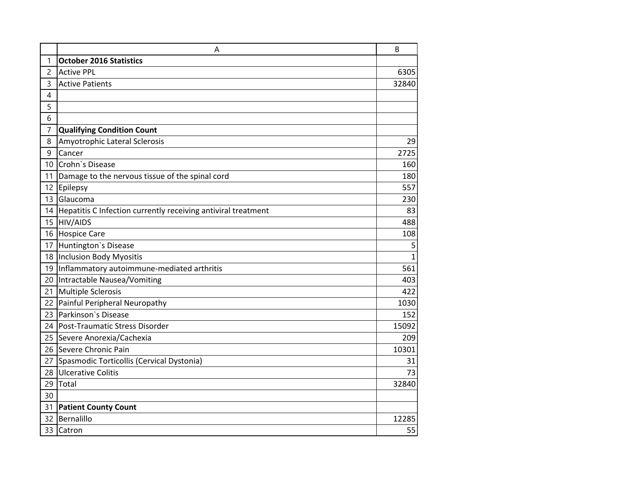|                 | Α                                                             | B     |
|-----------------|---------------------------------------------------------------|-------|
| 1               | <b>October 2016 Statistics</b>                                |       |
| 2               | <b>Active PPL</b>                                             | 6305  |
| 3               | <b>Active Patients</b>                                        | 32840 |
| $\overline{4}$  |                                                               |       |
| 5               |                                                               |       |
| 6               |                                                               |       |
| $\overline{7}$  | <b>Qualifying Condition Count</b>                             |       |
| 8               | Amyotrophic Lateral Sclerosis                                 | 29    |
| 9               | Cancer                                                        | 2725  |
| 10              | Crohn's Disease                                               | 160   |
| 11              | Damage to the nervous tissue of the spinal cord               | 180   |
| 12 <sup>2</sup> | Epilepsy                                                      | 557   |
| 13              | Glaucoma                                                      | 230   |
| 14              | Hepatitis C Infection currently receiving antiviral treatment | 83    |
| 15              | <b>HIV/AIDS</b>                                               | 488   |
| 16              | <b>Hospice Care</b>                                           | 108   |
| 17              | Huntington's Disease                                          | 5     |
| 18              | Inclusion Body Myositis                                       | 1     |
|                 | 19 Inflammatory autoimmune-mediated arthritis                 | 561   |
|                 | 20 Intractable Nausea/Vomiting                                | 403   |
| 21              | Multiple Sclerosis                                            | 422   |
|                 | 22 Painful Peripheral Neuropathy                              | 1030  |
| 23              | Parkinson's Disease                                           | 152   |
| 24              | Post-Traumatic Stress Disorder                                | 15092 |
| 25              | Severe Anorexia/Cachexia                                      | 209   |
| 26              | Severe Chronic Pain                                           | 10301 |
| 27              | Spasmodic Torticollis (Cervical Dystonia)                     | 31    |
| 28              | <b>Ulcerative Colitis</b>                                     | 73    |
| 29              | Total                                                         | 32840 |
| 30              |                                                               |       |
| 31              | <b>Patient County Count</b>                                   |       |
| 32              | Bernalillo                                                    | 12285 |
| 33              | Catron                                                        | 55    |